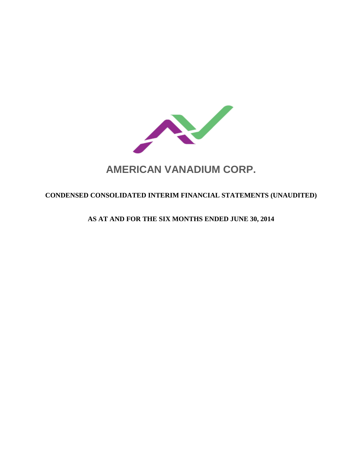

# **AMERICAN VANADIUM CORP.**

# **CONDENSED CONSOLIDATED INTERIM FINANCIAL STATEMENTS (UNAUDITED)**

**AS AT AND FOR THE SIX MONTHS ENDED JUNE 30, 2014**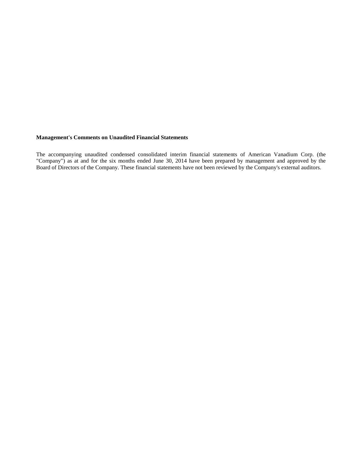#### **Management's Comments on Unaudited Financial Statements**

The accompanying unaudited condensed consolidated interim financial statements of American Vanadium Corp. (the "Company") as at and for the six months ended June 30, 2014 have been prepared by management and approved by the Board of Directors of the Company. These financial statements have not been reviewed by the Company's external auditors.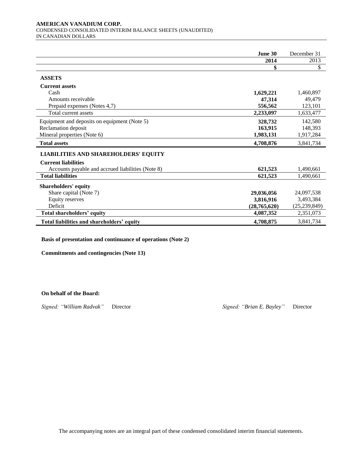#### **AMERICAN VANADIUM CORP.**  CONDENSED CONSOLIDATED INTERIM BALANCE SHEETS (UNAUDITED) IN CANADIAN DOLLARS

|                                                   | June 30      | December 31    |
|---------------------------------------------------|--------------|----------------|
|                                                   | 2014         | 2013           |
|                                                   | \$           | \$             |
| <b>ASSETS</b>                                     |              |                |
| <b>Current assets</b>                             |              |                |
| Cash                                              | 1,629,221    | 1,460,897      |
| Amounts receivable                                | 47,314       | 49,479         |
| Prepaid expenses (Notes 4,7)                      | 556,562      | 123,101        |
| Total current assets                              | 2,233,097    | 1,633,477      |
| Equipment and deposits on equipment (Note 5)      | 328,732      | 142,580        |
| Reclamation deposit                               | 163,915      | 148,393        |
| Mineral properties (Note 6)                       | 1,983,131    | 1,917,284      |
| <b>Total assets</b>                               | 4,708,876    | 3,841,734      |
| <b>LIABILITIES AND SHAREHOLDERS' EQUITY</b>       |              |                |
| <b>Current liabilities</b>                        |              |                |
| Accounts payable and accrued liabilities (Note 8) | 621,523      | 1,490,661      |
| <b>Total liabilities</b>                          | 621,523      | 1,490,661      |
| <b>Shareholders' equity</b>                       |              |                |
| Share capital (Note 7)                            | 29,036,056   | 24,097,538     |
| <b>Equity reserves</b>                            | 3,816,916    | 3,493,384      |
| Deficit                                           | (28,765,620) | (25, 239, 849) |
| Total shareholders' equity                        | 4,087,352    | 2,351,073      |
| Total liabilities and shareholders' equity        | 4,708,875    | 3,841,734      |

**Basis of presentation and continuance of operations (Note 2)**

**Commitments and contingencies (Note 13)**

**On behalf of the Board:**

*Signed: "William Radvak"* Director *Signed: "Brian E. Bayley"* Director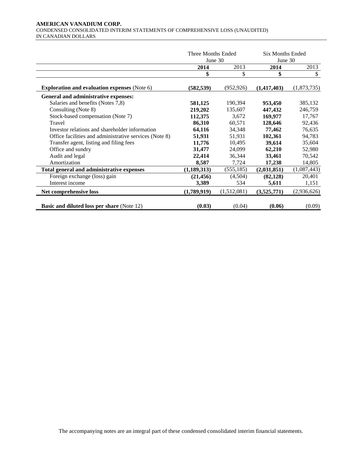#### **AMERICAN VANADIUM CORP.**  CONDENSED CONSOLIDATED INTERIM STATEMENTS OF COMPREHENSIVE LOSS (UNAUDITED) IN CANADIAN DOLLARS

|                                                        | Three Months Ended<br>June $30$ |             | <b>Six Months Ended</b><br>June 30 |             |
|--------------------------------------------------------|---------------------------------|-------------|------------------------------------|-------------|
|                                                        | 2014                            | 2013        | 2014                               | 2013        |
|                                                        | \$                              | \$          | \$                                 | \$          |
| <b>Exploration and evaluation expenses (Note 6)</b>    | (582, 539)                      | (952, 926)  | (1,417,403)                        | (1,873,735) |
| General and administrative expenses:                   |                                 |             |                                    |             |
| Salaries and benefits (Notes 7,8)                      | 581,125                         | 190,394     | 953,450                            | 385,132     |
| Consulting (Note 8)                                    | 219,202                         | 135,607     | 447,432                            | 246,759     |
| Stock-based compensation (Note 7)                      | 112,375                         | 3,672       | 169,977                            | 17,767      |
| Travel                                                 | 86,310                          | 60,571      | 128,646                            | 92,436      |
| Investor relations and shareholder information         | 64,116                          | 34,348      | 77,462                             | 76,635      |
| Office facilities and administrative services (Note 8) | 51,931                          | 51,931      | 102,361                            | 94,783      |
| Transfer agent, listing and filing fees                | 11,776                          | 10,495      | 39,614                             | 35,604      |
| Office and sundry                                      | 31,477                          | 24,099      | 62,210                             | 52,980      |
| Audit and legal                                        | 22,414                          | 36,344      | 33,461                             | 70,542      |
| Amortization                                           | 8,587                           | 7,724       | 17,238                             | 14,805      |
| Total general and administrative expenses              | (1,189,313)                     | (555, 185)  | (2,031,851)                        | (1,087,443) |
| Foreign exchange (loss) gain                           | (21, 456)                       | (4,504)     | (82, 128)                          | 20,401      |
| Interest income                                        | 3,389                           | 534         | 5,611                              | 1,151       |
| Net comprehensive loss                                 | (1,789,919)                     | (1,512,081) | (3,525,771)                        | (2,936,626) |
| <b>Basic and diluted loss per share (Note 12)</b>      | (0.03)                          | (0.04)      | (0.06)                             | (0.09)      |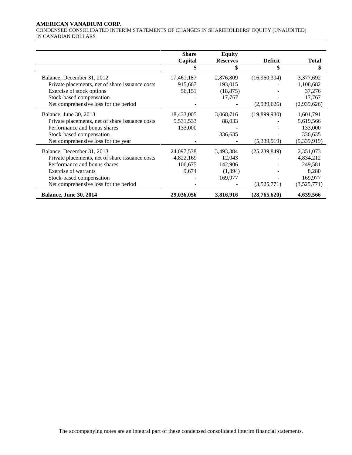#### **AMERICAN VANADIUM CORP.**

CONDENSED CONSOLIDATED INTERIM STATEMENTS OF CHANGES IN SHAREHOLDERS' EQUITY (UNAUDITED) IN CANADIAN DOLLARS

|                                                 | <b>Share</b> | <b>Equity</b>   |                |              |
|-------------------------------------------------|--------------|-----------------|----------------|--------------|
|                                                 | Capital      | <b>Reserves</b> | <b>Deficit</b> | <b>Total</b> |
|                                                 |              | \$              | \$             | \$           |
| Balance, December 31, 2012                      | 17,461,187   | 2,876,809       | (16,960,304)   | 3,377,692    |
| Private placements, net of share issuance costs | 915,667      | 193,015         |                | 1,108,682    |
| Exercise of stock options                       | 56,151       | (18, 875)       |                | 37,276       |
| Stock-based compensation                        |              | 17,767          |                | 17,767       |
| Net comprehensive loss for the period           |              |                 | (2,939,626)    | (2,939,626)  |
| Balance, June 30, 2013                          | 18,433,005   | 3,068,716       | (19,899,930)   | 1,601,791    |
| Private placements, net of share issuance costs | 5,531,533    | 88,033          |                | 5,619,566    |
| Performance and bonus shares                    | 133,000      |                 |                | 133,000      |
| Stock-based compensation                        |              | 336,635         |                | 336,635      |
| Net comprehensive loss for the year             |              |                 | (5,339,919)    | (5,339,919)  |
| Balance, December 31, 2013                      | 24,097,538   | 3,493,384       | (25, 239, 849) | 2,351,073    |
| Private placements, net of share issuance costs | 4,822,169    | 12,043          |                | 4,834,212    |
| Performance and bonus shares                    | 106,675      | 142,906         |                | 249,581      |
| Exercise of warrants                            | 9,674        | (1, 394)        |                | 8,280        |
| Stock-based compensation                        |              | 169,977         |                | 169,977      |
| Net comprehensive loss for the period           |              |                 | (3,525,771)    | (3,525,771)  |
| <b>Balance, June 30, 2014</b>                   | 29,036,056   | 3,816,916       | (28, 765, 620) | 4,639,566    |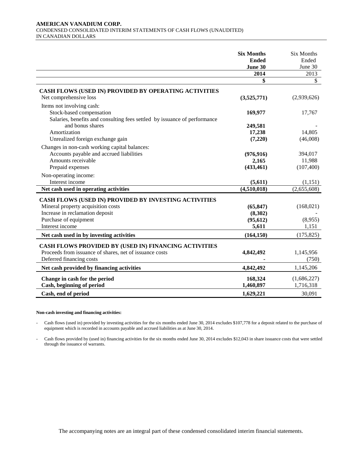#### **AMERICAN VANADIUM CORP.**  CONDENSED CONSOLIDATED INTERIM STATEMENTS OF CASH FLOWS (UNAUDITED) IN CANADIAN DOLLARS

|                                                                           | <b>Six Months</b><br><b>Ended</b><br>June 30 | <b>Six Months</b><br>Ended<br>June 30 |
|---------------------------------------------------------------------------|----------------------------------------------|---------------------------------------|
|                                                                           | 2014                                         | 2013                                  |
|                                                                           | \$                                           | $\boldsymbol{\mathsf{S}}$             |
| CASH FLOWS (USED IN) PROVIDED BY OPERATING ACTIVITIES                     |                                              |                                       |
| Net comprehensive loss                                                    | (3,525,771)                                  | (2,939,626)                           |
| Items not involving cash:                                                 |                                              |                                       |
| Stock-based compensation                                                  | 169,977                                      | 17,767                                |
| Salaries, benefits and consulting fees settled by issuance of performance |                                              |                                       |
| and bonus shares                                                          | 249,581                                      |                                       |
| Amortization                                                              | 17,238                                       | 14,805                                |
| Unrealized foreign exchange gain                                          | (7,220)                                      | (46,008)                              |
| Changes in non-cash working capital balances:                             |                                              |                                       |
| Accounts payable and accrued liabilities                                  | (976, 916)                                   | 394,017                               |
| Amounts receivable                                                        | 2,165                                        | 11,988                                |
| Prepaid expenses                                                          | (433, 461)                                   | (107, 400)                            |
| Non-operating income:                                                     |                                              |                                       |
| Interest income                                                           | (5,611)                                      | (1,151)                               |
| Net cash used in operating activities                                     | (4,510,018)                                  | (2,655,608)                           |
| CASH FLOWS (USED IN) PROVIDED BY INVESTING ACTIVITIES                     |                                              |                                       |
| Mineral property acquisition costs                                        | (65, 847)                                    | (168,021)                             |
| Increase in reclamation deposit                                           | (8,302)                                      |                                       |
| Purchase of equipment                                                     | (95, 612)                                    | (8,955)                               |
| Interest income                                                           | 5,611                                        | 1,151                                 |
| Net cash used in by investing activities                                  | (164, 150)                                   | (175, 825)                            |
| CASH FLOWS PROVIDED BY (USED IN) FINANCING ACTIVITIES                     |                                              |                                       |
| Proceeds from issuance of shares, net of issuance costs                   | 4,842,492                                    | 1,145,956                             |
| Deferred financing costs                                                  |                                              | (750)                                 |
| Net cash provided by financing activities                                 | 4,842,492                                    | 1,145,206                             |
|                                                                           |                                              |                                       |
| Change in cash for the period                                             | 168,324                                      | (1,686,227)                           |
| Cash, beginning of period                                                 | 1,460,897                                    | 1,716,318                             |
| Cash, end of period                                                       | 1,629,221                                    | 30,091                                |

#### **Non-cash investing and financing activities:**

- Cash flows (used in) provided by investing activities for the six months ended June 30, 2014 excludes \$107,778 for a deposit related to the purchase of equipment which is recorded in accounts payable and accrued liabilities as at June 30, 2014.

- Cash flows provided by (used in) financing activities for the six months ended June 30, 2014 excludes \$12,043 in share issuance costs that were settled through the issuance of warrants.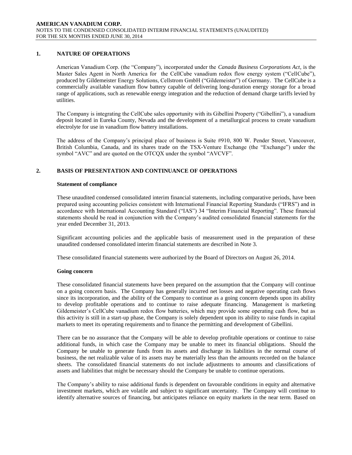# **1. NATURE OF OPERATIONS**

American Vanadium Corp. (the "Company"), incorporated under the *Canada Business Corporations Act*, is the Master Sales Agent in North America for the CellCube vanadium redox flow energy system ("CellCube"), produced by Gildemeister Energy Solutions, Cellstrom GmbH ("Gildemeister") of Germany. The CellCube is a commercially available vanadium flow battery capable of delivering long-duration energy storage for a broad range of applications, such as renewable energy integration and the reduction of demand charge tariffs levied by utilities.

The Company is integrating the CellCube sales opportunity with its Gibellini Property ("Gibellini"), a vanadium deposit located in Eureka County, Nevada and the development of a metallurgical process to create vanadium electrolyte for use in vanadium flow battery installations.

The address of the Company's principal place of business is Suite #910, 800 W. Pender Street, Vancouver, British Columbia, Canada, and its shares trade on the TSX-Venture Exchange (the "Exchange") under the symbol "AVC" and are quoted on the OTCQX under the symbol "AVCVF".

# **2. BASIS OF PRESENTATION AND CONTINUANCE OF OPERATIONS**

#### **Statement of compliance**

These unaudited condensed consolidated interim financial statements, including comparative periods, have been prepared using accounting policies consistent with International Financial Reporting Standards ("IFRS") and in accordance with International Accounting Standard ("IAS") 34 "Interim Financial Reporting". These financial statements should be read in conjunction with the Company's audited consolidated financial statements for the year ended December 31, 2013.

Significant accounting policies and the applicable basis of measurement used in the preparation of these unaudited condensed consolidated interim financial statements are described in Note 3.

These consolidated financial statements were authorized by the Board of Directors on August 26, 2014.

#### **Going concern**

These consolidated financial statements have been prepared on the assumption that the Company will continue on a going concern basis. The Company has generally incurred net losses and negative operating cash flows since its incorporation, and the ability of the Company to continue as a going concern depends upon its ability to develop profitable operations and to continue to raise adequate financing. Management is marketing Gildemeister's CellCube vanadium redox flow batteries, which may provide some operating cash flow, but as this activity is still in a start-up phase, the Company is solely dependent upon its ability to raise funds in capital markets to meet its operating requirements and to finance the permitting and development of Gibellini.

There can be no assurance that the Company will be able to develop profitable operations or continue to raise additional funds, in which case the Company may be unable to meet its financial obligations. Should the Company be unable to generate funds from its assets and discharge its liabilities in the normal course of business, the net realizable value of its assets may be materially less than the amounts recorded on the balance sheets. The consolidated financial statements do not include adjustments to amounts and classifications of assets and liabilities that might be necessary should the Company be unable to continue operations.

The Company's ability to raise additional funds is dependent on favourable conditions in equity and alternative investment markets, which are volatile and subject to significant uncertainty. The Company will continue to identify alternative sources of financing, but anticipates reliance on equity markets in the near term. Based on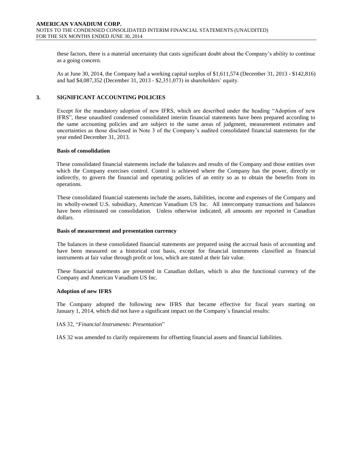these factors, there is a material uncertainty that casts significant doubt about the Company's ability to continue as a going concern.

As at June 30, 2014, the Company had a working capital surplus of \$1,611,574 (December 31, 2013 - \$142,816) and had \$4,087,352 (December 31, 2013 - \$2,351,073) in shareholders' equity.

#### **3. SIGNIFICANT ACCOUNTING POLICIES**

Except for the mandatory adoption of new IFRS, which are described under the heading "Adoption of new IFRS", these unaudited condensed consolidated interim financial statements have been prepared according to the same accounting policies and are subject to the same areas of judgment, measurement estimates and uncertainties as those disclosed in Note 3 of the Company's audited consolidated financial statements for the year ended December 31, 2013.

#### **Basis of consolidation**

These consolidated financial statements include the balances and results of the Company and those entities over which the Company exercises control. Control is achieved where the Company has the power, directly or indirectly, to govern the financial and operating policies of an entity so as to obtain the benefits from its operations.

These consolidated financial statements include the assets, liabilities, income and expenses of the Company and its wholly-owned U.S. subsidiary, American Vanadium US Inc. All intercompany transactions and balances have been eliminated on consolidation. Unless otherwise indicated, all amounts are reported in Canadian dollars.

#### **Basis of measurement and presentation currency**

The balances in these consolidated financial statements are prepared using the accrual basis of accounting and have been measured on a historical cost basis, except for financial instruments classified as financial instruments at fair value through profit or loss, which are stated at their fair value.

These financial statements are presented in Canadian dollars, which is also the functional currency of the Company and American Vanadium US Inc.

#### **Adoption of new IFRS**

The Company adopted the following new IFRS that became effective for fiscal years starting on January 1, 2014, which did not have a significant impact on the Company`s financial results:

#### IAS 32, "*Financial Instruments: Presentation*"

IAS 32 was amended to clarify requirements for offsetting financial assets and financial liabilities.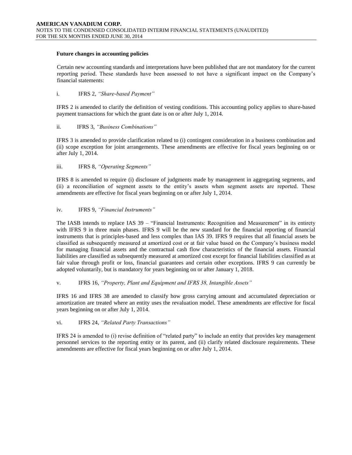#### **Future changes in accounting policies**

Certain new accounting standards and interpretations have been published that are not mandatory for the current reporting period. These standards have been assessed to not have a significant impact on the Company's financial statements:

i. IFRS 2, *"Share-based Payment"* 

IFRS 2 is amended to clarify the definition of vesting conditions. This accounting policy applies to share-based payment transactions for which the grant date is on or after July 1, 2014.

#### ii. IFRS 3, *"Business Combinations"*

IFRS 3 is amended to provide clarification related to (i) contingent consideration in a business combination and (ii) scope exception for joint arrangements. These amendments are effective for fiscal years beginning on or after July 1, 2014.

# iii. IFRS 8, *"Operating Segments"*

IFRS 8 is amended to require (i) disclosure of judgments made by management in aggregating segments, and (ii) a reconciliation of segment assets to the entity's assets when segment assets are reported. These amendments are effective for fiscal years beginning on or after July 1, 2014.

#### iv. IFRS 9, *"Financial Instruments"*

The IASB intends to replace IAS 39 – "Financial Instruments: Recognition and Measurement" in its entirety with IFRS 9 in three main phases. IFRS 9 will be the new standard for the financial reporting of financial instruments that is principles-based and less complex than IAS 39. IFRS 9 requires that all financial assets be classified as subsequently measured at amortized cost or at fair value based on the Company's business model for managing financial assets and the contractual cash flow characteristics of the financial assets. Financial liabilities are classified as subsequently measured at amortized cost except for financial liabilities classified as at fair value through profit or loss, financial guarantees and certain other exceptions. IFRS 9 can currently be adopted voluntarily, but is mandatory for years beginning on or after January 1, 2018.

v. IFRS 16, *"Property, Plant and Equipment and IFRS 38, Intangible Assets"*

IFRS 16 and IFRS 38 are amended to classify how gross carrying amount and accumulated depreciation or amortization are treated where an entity uses the revaluation model. These amendments are effective for fiscal years beginning on or after July 1, 2014.

#### vi. IFRS 24, *"Related Party Transactions"*

IFRS 24 is amended to (i) revise definition of "related party" to include an entity that provides key management personnel services to the reporting entity or its parent, and (ii) clarify related disclosure requirements. These amendments are effective for fiscal years beginning on or after July 1, 2014.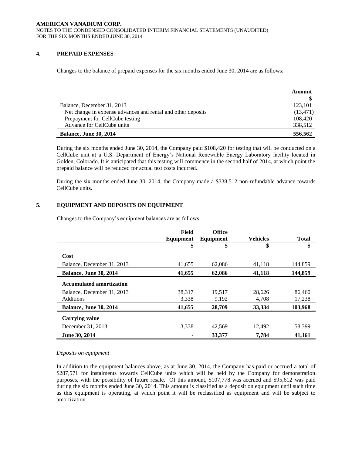# **4. PREPAID EXPENSES**

Changes to the balance of prepaid expenses for the six months ended June 30, 2014 are as follows:

|                                                              | Amount    |
|--------------------------------------------------------------|-----------|
|                                                              |           |
| Balance, December 31, 2013                                   | 123,101   |
| Net change in expense advances and rental and other deposits | (13, 471) |
| Prepayment for CellCube testing                              | 108,420   |
| Advance for CellCube units                                   | 338,512   |
| <b>Balance, June 30, 2014</b>                                | 556,562   |

During the six months ended June 30, 2014, the Company paid \$108,420 for testing that will be conducted on a CellCube unit at a U.S. Department of Energy's National Renewable Energy Laboratory facility located in Golden, Colorado. It is anticipated that this testing will commence in the second half of 2014, at which point the prepaid balance will be reduced for actual test costs incurred.

During the six months ended June 30, 2014, the Company made a \$338,512 non-refundable advance towards CellCube units.

# **5. EQUIPMENT AND DEPOSITS ON EQUIPMENT**

Changes to the Company's equipment balances are as follows:

|                                 | Field     | <b>Office</b> |                 |              |
|---------------------------------|-----------|---------------|-----------------|--------------|
|                                 | Equipment | Equipment     | <b>Vehicles</b> | <b>Total</b> |
|                                 | \$        | \$            | \$              | \$           |
| Cost                            |           |               |                 |              |
| Balance, December 31, 2013      | 41,655    | 62,086        | 41,118          | 144,859      |
| <b>Balance, June 30, 2014</b>   | 41,655    | 62,086        | 41,118          | 144,859      |
| <b>Accumulated amortization</b> |           |               |                 |              |
| Balance, December 31, 2013      | 38,317    | 19,517        | 28,626          | 86,460       |
| <b>Additions</b>                | 3,338     | 9,192         | 4,708           | 17,238       |
| <b>Balance, June 30, 2014</b>   | 41,655    | 28,709        | 33,334          | 103,968      |
| <b>Carrying value</b>           |           |               |                 |              |
| December 31, 2013               | 3,338     | 42,569        | 12,492          | 58,399       |
| June 30, 2014                   |           | 33,377        | 7.784           | 41,161       |

#### *Deposits on equipment*

In addition to the equipment balances above, as at June 30, 2014, the Company has paid or accrued a total of \$287,571 for instalments towards CellCube units which will be held by the Company for demonstration purposes, with the possibility of future resale. Of this amount, \$107,778 was accrued and \$95,612 was paid during the six months ended June 30, 2014. This amount is classified as a deposit on equipment until such time as this equipment is operating, at which point it will be reclassified as equipment and will be subject to amortization.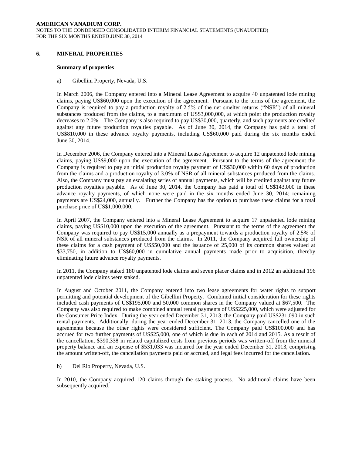#### **6. MINERAL PROPERTIES**

#### **Summary of properties**

a) Gibellini Property, Nevada, U.S.

In March 2006, the Company entered into a Mineral Lease Agreement to acquire 40 unpatented lode mining claims, paying US\$60,000 upon the execution of the agreement. Pursuant to the terms of the agreement, the Company is required to pay a production royalty of 2.5% of the net smelter returns ("NSR") of all mineral substances produced from the claims, to a maximum of US\$3,000,000, at which point the production royalty decreases to 2.0%. The Company is also required to pay US\$30,000, quarterly, and such payments are credited against any future production royalties payable. As of June 30, 2014, the Company has paid a total of US\$810,000 in these advance royalty payments, including US\$60,000 paid during the six months ended June 30, 2014.

In December 2006, the Company entered into a Mineral Lease Agreement to acquire 12 unpatented lode mining claims, paying US\$9,000 upon the execution of the agreement. Pursuant to the terms of the agreement the Company is required to pay an initial production royalty payment of US\$30,000 within 60 days of production from the claims and a production royalty of 3.0% of NSR of all mineral substances produced from the claims. Also, the Company must pay an escalating series of annual payments, which will be credited against any future production royalties payable. As of June 30, 2014, the Company has paid a total of US\$143,000 in these advance royalty payments, of which none were paid in the six months ended June 30, 2014; remaining payments are US\$24,000, annually. Further the Company has the option to purchase these claims for a total purchase price of US\$1,000,000.

In April 2007, the Company entered into a Mineral Lease Agreement to acquire 17 unpatented lode mining claims, paying US\$10,000 upon the execution of the agreement. Pursuant to the terms of the agreement the Company was required to pay US\$15,000 annually as a prepayment towards a production royalty of 2.5% of NSR of all mineral substances produced from the claims. In 2011, the Company acquired full ownership of these claims for a cash payment of US\$50,000 and the issuance of 25,000 of its common shares valued at \$33,750, in addition to US\$60,000 in cumulative annual payments made prior to acquisition, thereby eliminating future advance royalty payments.

In 2011, the Company staked 180 unpatented lode claims and seven placer claims and in 2012 an additional 196 unpatented lode claims were staked.

In August and October 2011, the Company entered into two lease agreements for water rights to support permitting and potential development of the Gibellini Property. Combined initial consideration for these rights included cash payments of US\$195,000 and 50,000 common shares in the Company valued at \$67,500. The Company was also required to make combined annual rental payments of US\$225,000, which were adjusted for the Consumer Price Index. During the year ended December 31, 2013, the Company paid US\$231,090 in such rental payments. Additionally, during the year ended December 31, 2013, the Company cancelled one of the agreements because the other rights were considered sufficient. The Company paid US\$100,000 and has accrued for two further payments of US\$25,000, one of which is due in each of 2014 and 2015. As a result of the cancellation, \$390,338 in related capitalized costs from previous periods was written-off from the mineral property balance and an expense of \$531,033 was incurred for the year ended December 31, 2013, comprising the amount written-off, the cancellation payments paid or accrued, and legal fees incurred for the cancellation.

#### b) Del Rio Property, Nevada, U.S.

In 2010, the Company acquired 120 claims through the staking process. No additional claims have been subsequently acquired.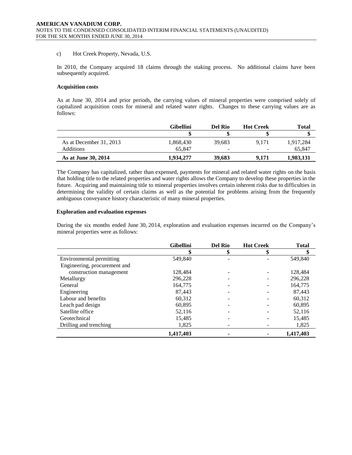#### c) Hot Creek Property, Nevada, U.S.

In 2010, the Company acquired 18 claims through the staking process. No additional claims have been subsequently acquired.

#### **Acquisition costs**

As at June 30, 2014 and prior periods, the carrying values of mineral properties were comprised solely of capitalized acquisition costs for mineral and related water rights. Changes to these carrying values are as follows:

|                         | <b>Gibellini</b> | Del Rio                  | <b>Hot Creek</b> | Total     |
|-------------------------|------------------|--------------------------|------------------|-----------|
|                         |                  |                          |                  |           |
| As at December 31, 2013 | 1,868,430        | 39.683                   | 9.171            | 1,917,284 |
| Additions               | 65.847           | $\overline{\phantom{0}}$ |                  | 65.847    |
| As at June 30, 2014     | 1.934.277        | 39,683                   | 9.171            | 1,983,131 |

The Company has capitalized, rather than expensed, payments for mineral and related water rights on the basis that holding title to the related properties and water rights allows the Company to develop these properties in the future. Acquiring and maintaining title to mineral properties involves certain inherent risks due to difficulties in determining the validity of certain claims as well as the potential for problems arising from the frequently ambiguous conveyance history characteristic of many mineral properties.

#### **Exploration and evaluation expenses**

During the six months ended June 30, 2014, exploration and evaluation expenses incurred on the Company's mineral properties were as follows:

|                              | <b>Gibellini</b> | <b>Del Rio</b> | <b>Hot Creek</b> | <b>Total</b> |
|------------------------------|------------------|----------------|------------------|--------------|
|                              | \$               | æ              | \$               | \$           |
| Environmental permitting     | 549,840          |                |                  | 549,840      |
| Engineering, procurement and |                  |                |                  |              |
| construction management      | 128,484          |                |                  | 128,484      |
| Metallurgy                   | 296,228          |                |                  | 296,228      |
| General                      | 164,775          |                |                  | 164,775      |
| Engineering                  | 87.443           |                |                  | 87,443       |
| Labour and benefits          | 60,312           |                |                  | 60,312       |
| Leach pad design             | 60,895           |                |                  | 60,895       |
| Satellite office             | 52,116           |                |                  | 52,116       |
| Geotechnical                 | 15,485           |                |                  | 15,485       |
| Drilling and trenching       | 1,825            |                |                  | 1,825        |
|                              | 1.417.403        |                |                  | 1.417.403    |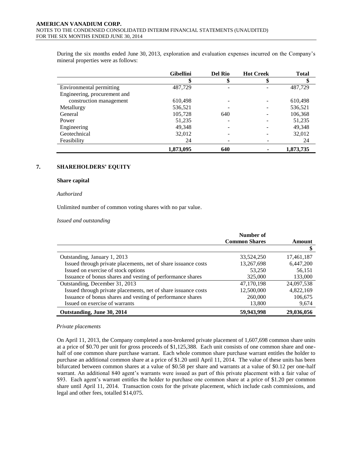During the six months ended June 30, 2013, exploration and evaluation expenses incurred on the Company's mineral properties were as follows:

|                              | <b>Gibellini</b> | Del Rio | <b>Hot Creek</b> | <b>Total</b> |
|------------------------------|------------------|---------|------------------|--------------|
|                              |                  |         |                  |              |
| Environmental permitting     | 487,729          |         |                  | 487,729      |
| Engineering, procurement and |                  |         |                  |              |
| construction management      | 610,498          |         |                  | 610,498      |
| Metallurgy                   | 536,521          |         |                  | 536,521      |
| General                      | 105,728          | 640     |                  | 106,368      |
| Power                        | 51,235           |         |                  | 51,235       |
| Engineering                  | 49,348           |         |                  | 49,348       |
| Geotechnical                 | 32,012           |         |                  | 32,012       |
| Feasibility                  | 24               |         |                  | 24           |
|                              | 1,873,095        | 640     |                  | 1,873,735    |

#### **7. SHAREHOLDERS' EQUITY**

#### **Share capital**

#### *Authorized*

Unlimited number of common voting shares with no par value.

*Issued and outstanding*

|                                                                | Number of            |            |
|----------------------------------------------------------------|----------------------|------------|
|                                                                | <b>Common Shares</b> | Amount     |
|                                                                |                      |            |
| Outstanding, January 1, 2013                                   | 33,524,250           | 17,461,187 |
| Issued through private placements, net of share issuance costs | 13,267,698           | 6,447,200  |
| Issued on exercise of stock options                            | 53,250               | 56,151     |
| Issuance of bonus shares and vesting of performance shares     | 325,000              | 133,000    |
| Outstanding, December 31, 2013                                 | 47,170,198           | 24,097,538 |
| Issued through private placements, net of share issuance costs | 12,500,000           | 4,822,169  |
| Issuance of bonus shares and vesting of performance shares     | 260,000              | 106,675    |
| Issued on exercise of warrants                                 | 13,800               | 9,674      |
| Outstanding, June 30, 2014                                     | 59,943,998           | 29,036,056 |

#### *Private placements*

On April 11, 2013, the Company completed a non-brokered private placement of 1,607,698 common share units at a price of \$0.70 per unit for gross proceeds of \$1,125,388. Each unit consists of one common share and onehalf of one common share purchase warrant. Each whole common share purchase warrant entitles the holder to purchase an additional common share at a price of \$1.20 until April 11, 2014. The value of these units has been bifurcated between common shares at a value of \$0.58 per share and warrants at a value of \$0.12 per one-half warrant. An additional 840 agent's warrants were issued as part of this private placement with a fair value of \$93. Each agent's warrant entitles the holder to purchase one common share at a price of \$1.20 per common share until April 11, 2014. Transaction costs for the private placement, which include cash commissions, and legal and other fees, totalled \$14,075.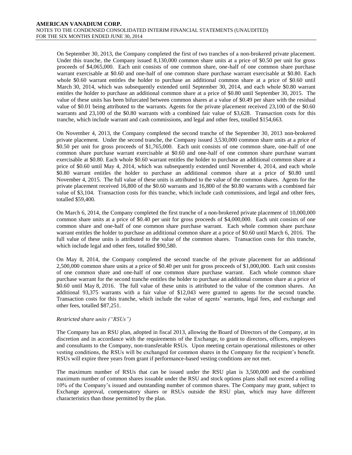On September 30, 2013, the Company completed the first of two tranches of a non-brokered private placement. Under this tranche, the Company issued 8,130,000 common share units at a price of \$0.50 per unit for gross proceeds of \$4,065,000. Each unit consists of one common share, one-half of one common share purchase warrant exercisable at \$0.60 and one-half of one common share purchase warrant exercisable at \$0.80. Each whole \$0.60 warrant entitles the holder to purchase an additional common share at a price of \$0.60 until March 30, 2014, which was subsequently extended until September 30, 2014, and each whole \$0.80 warrant entitles the holder to purchase an additional common share at a price of \$0.80 until September 30, 2015. The value of these units has been bifurcated between common shares at a value of \$0.49 per share with the residual value of \$0.01 being attributed to the warrants. Agents for the private placement received 23,100 of the \$0.60 warrants and 23,100 of the \$0.80 warrants with a combined fair value of \$3,628. Transaction costs for this tranche, which include warrant and cash commissions, and legal and other fees, totalled \$154,663.

On November 4, 2013, the Company completed the second tranche of the September 30, 2013 non-brokered private placement. Under the second tranche, the Company issued 3,530,000 common share units at a price of \$0.50 per unit for gross proceeds of \$1,765,000. Each unit consists of one common share, one-half of one common share purchase warrant exercisable at \$0.60 and one-half of one common share purchase warrant exercisable at \$0.80. Each whole \$0.60 warrant entitles the holder to purchase an additional common share at a price of \$0.60 until May 4, 2014, which was subsequently extended until November 4, 2014, and each whole \$0.80 warrant entitles the holder to purchase an additional common share at a price of \$0.80 until November 4, 2015. The full value of these units is attributed to the value of the common shares. Agents for the private placement received 16,800 of the \$0.60 warrants and 16,800 of the \$0.80 warrants with a combined fair value of \$3,104. Transaction costs for this tranche, which include cash commissions, and legal and other fees, totalled \$59,400.

On March 6, 2014, the Company completed the first tranche of a non-brokered private placement of 10,000,000 common share units at a price of \$0.40 per unit for gross proceeds of \$4,000,000. Each unit consists of one common share and one-half of one common share purchase warrant. Each whole common share purchase warrant entitles the holder to purchase an additional common share at a price of \$0.60 until March 6, 2016. The full value of these units is attributed to the value of the common shares. Transaction costs for this tranche, which include legal and other fees, totalled \$90,580.

On May 8, 2014, the Company completed the second tranche of the private placement for an additional 2,500,000 common share units at a price of \$0.40 per unit for gross proceeds of \$1,000,000. Each unit consists of one common share and one-half of one common share purchase warrant. Each whole common share purchase warrant for the second tranche entitles the holder to purchase an additional common share at a price of \$0.60 until May 8, 2016. The full value of these units is attributed to the value of the common shares. An additional 93,375 warrants with a fair value of \$12,043 were granted to agents for the second tranche. Transaction costs for this tranche, which include the value of agents' warrants, legal fees, and exchange and other fees, totalled \$87,251.

#### *Restricted share units ("RSUs")*

The Company has an RSU plan, adopted in fiscal 2013, allowing the Board of Directors of the Company, at its discretion and in accordance with the requirements of the Exchange, to grant to directors, officers, employees and consultants to the Company, non-transferable RSUs. Upon meeting certain operational milestones or other vesting conditions, the RSUs will be exchanged for common shares in the Company for the recipient's benefit. RSUs will expire three years from grant if performance-based vesting conditions are not met.

The maximum number of RSUs that can be issued under the RSU plan is 3,500,000 and the combined maximum number of common shares issuable under the RSU and stock options plans shall not exceed a rolling 10% of the Company's issued and outstanding number of common shares. The Company may grant, subject to Exchange approval, compensatory shares or RSUs outside the RSU plan, which may have different characteristics than those permitted by the plan.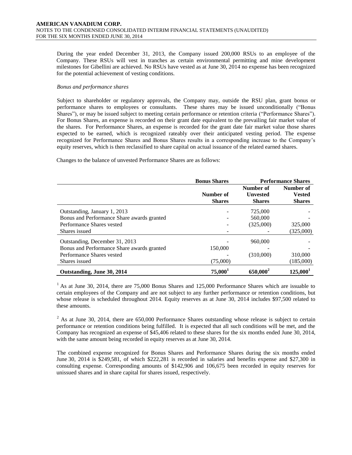During the year ended December 31, 2013, the Company issued 200,000 RSUs to an employee of the Company. These RSUs will vest in tranches as certain environmental permitting and mine development milestones for Gibellini are achieved. No RSUs have vested as at June 30, 2014 no expense has been recognized for the potential achievement of vesting conditions.

#### *Bonus and performance shares*

Subject to shareholder or regulatory approvals, the Company may, outside the RSU plan, grant bonus or performance shares to employees or consultants. These shares may be issued unconditionally ("Bonus Shares"), or may be issued subject to meeting certain performance or retention criteria ("Performance Shares"). For Bonus Shares, an expense is recorded on their grant date equivalent to the prevailing fair market value of the shares. For Performance Shares, an expense is recorded for the grant date fair market value those shares expected to be earned, which is recognized rateably over their anticipated vesting period. The expense recognized for Performance Shares and Bonus Shares results in a corresponding increase to the Company's equity reserves, which is then reclassified to share capital on actual issuance of the related earned shares.

Changes to the balance of unvested Performance Shares are as follows:

|                                            | <b>Bonus Shares</b> |                 | <b>Performance Shares</b> |
|--------------------------------------------|---------------------|-----------------|---------------------------|
|                                            |                     | Number of       | Number of                 |
|                                            | Number of           | <b>Unvested</b> | <b>Vested</b>             |
|                                            | <b>Shares</b>       | <b>Shares</b>   | <b>Shares</b>             |
| Outstanding, January 1, 2013               |                     | 725,000         |                           |
| Bonus and Performance Share awards granted |                     | 560,000         |                           |
| Performance Shares vested                  |                     | (325,000)       | 325,000                   |
| Shares issued                              |                     |                 | (325,000)                 |
| Outstanding, December 31, 2013             |                     | 960,000         |                           |
| Bonus and Performance Share awards granted | 150,000             |                 |                           |
| Performance Shares vested                  |                     | (310,000)       | 310,000                   |
| Shares issued                              | (75,000)            |                 | (185,000)                 |
| Outstanding, June 30, 2014                 | $75,000^1$          | $650,000^2$     | 125,000 <sup>1</sup>      |

<sup>1</sup> As at June 30, 2014, there are 75,000 Bonus Shares and 125,000 Performance Shares which are issuable to certain employees of the Company and are not subject to any further performance or retention conditions, but whose release is scheduled throughout 2014. Equity reserves as at June 30, 2014 includes \$97,500 related to these amounts.

<sup>2</sup> As at June 30, 2014, there are 650,000 Performance Shares outstanding whose release is subject to certain performance or retention conditions being fulfilled. It is expected that all such conditions will be met, and the Company has recognized an expense of \$45,406 related to these shares for the six months ended June 30, 2014, with the same amount being recorded in equity reserves as at June 30, 2014.

The combined expense recognized for Bonus Shares and Performance Shares during the six months ended June 30, 2014 is \$249,581, of which \$222,281 is recorded in salaries and benefits expense and \$27,300 in consulting expense. Corresponding amounts of \$142,906 and 106,675 been recorded in equity reserves for unissued shares and in share capital for shares issued, respectively.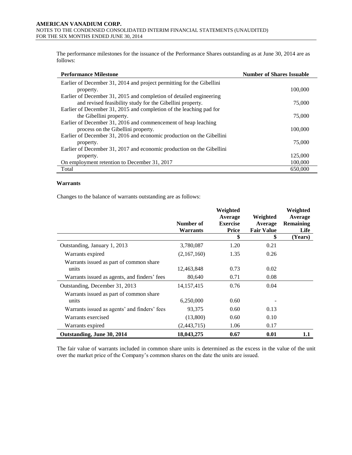The performance milestones for the issuance of the Performance Shares outstanding as at June 30, 2014 are as follows:

| <b>Performance Milestone</b>                                          | <b>Number of Shares Issuable</b> |
|-----------------------------------------------------------------------|----------------------------------|
| Earlier of December 31, 2014 and project permitting for the Gibellini |                                  |
| property.                                                             | 100,000                          |
| Earlier of December 31, 2015 and completion of detailed engineering   |                                  |
| and revised feasibility study for the Gibellini property.             | 75,000                           |
| Earlier of December 31, 2015 and completion of the leaching pad for   |                                  |
| the Gibellini property.                                               | 75,000                           |
| Earlier of December 31, 2016 and commencement of heap leaching        |                                  |
| process on the Gibellini property.                                    | 100,000                          |
| Earlier of December 31, 2016 and economic production on the Gibellini |                                  |
| property.                                                             | 75,000                           |
| Earlier of December 31, 2017 and economic production on the Gibellini |                                  |
| property.                                                             | 125,000                          |
| On employment retention to December 31, 2017                          | 100,000                          |
| Total                                                                 | 650,000                          |

#### **Warrants**

Changes to the balance of warrants outstanding are as follows:

|                                                  | Number of<br>Warrants | Weighted<br>Average<br><b>Exercise</b><br>Price | Weighted<br>Average<br><b>Fair Value</b> | Weighted<br>Average<br><b>Remaining</b><br>Life |
|--------------------------------------------------|-----------------------|-------------------------------------------------|------------------------------------------|-------------------------------------------------|
|                                                  |                       | \$                                              | \$                                       | (Years)                                         |
| Outstanding, January 1, 2013                     | 3,780,087             | 1.20                                            | 0.21                                     |                                                 |
| Warrants expired                                 | (2,167,160)           | 1.35                                            | 0.26                                     |                                                 |
| Warrants issued as part of common share<br>units | 12,463,848            | 0.73                                            | 0.02                                     |                                                 |
| Warrants issued as agents, and finders' fees     | 80,640                | 0.71                                            | 0.08                                     |                                                 |
| Outstanding, December 31, 2013                   | 14, 157, 415          | 0.76                                            | 0.04                                     |                                                 |
| Warrants issued as part of common share<br>units | 6,250,000             | 0.60                                            |                                          |                                                 |
| Warrants issued as agents' and finders' fees     | 93,375                | 0.60                                            | 0.13                                     |                                                 |
| Warrants exercised                               | (13,800)              | 0.60                                            | 0.10                                     |                                                 |
| Warrants expired                                 | (2,443,715)           | 1.06                                            | 0.17                                     |                                                 |
| Outstanding, June 30, 2014                       | 18,043,275            | 0.67                                            | 0.01                                     | $1.1\,$                                         |

The fair value of warrants included in common share units is determined as the excess in the value of the unit over the market price of the Company's common shares on the date the units are issued.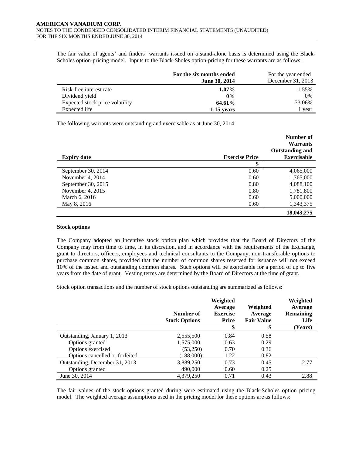The fair value of agents' and finders' warrants issued on a stand-alone basis is determined using the Black-Scholes option-pricing model. Inputs to the Black-Sholes option-pricing for these warrants are as follows:

|                                 | For the six months ended | For the year ended |
|---------------------------------|--------------------------|--------------------|
|                                 | <b>June 30, 2014</b>     | December 31, 2013  |
| Risk-free interest rate         | $1.07\%$                 | 1.55%              |
| Dividend yield                  | $0\%$                    | 0%                 |
| Expected stock price volatility | 64.61%                   | 73.06%             |
| Expected life                   | 1.15 years               | l year             |

The following warrants were outstanding and exercisable as at June 30, 2014:

|                    |                       | Number of<br><b>Warrants</b><br><b>Outstanding and</b> |
|--------------------|-----------------------|--------------------------------------------------------|
| <b>Expiry date</b> | <b>Exercise Price</b> | <b>Exercisable</b>                                     |
|                    | \$                    |                                                        |
| September 30, 2014 | 0.60                  | 4,065,000                                              |
| November 4, 2014   | 0.60                  | 1,765,000                                              |
| September 30, 2015 | 0.80                  | 4,088,100                                              |
| November 4, 2015   | 0.80                  | 1,781,800                                              |
| March 6, 2016      | 0.60                  | 5,000,000                                              |
| May 8, 2016        | 0.60                  | 1,343,375                                              |
|                    |                       | 18,043,275                                             |

#### **Stock options**

The Company adopted an incentive stock option plan which provides that the Board of Directors of the Company may from time to time, in its discretion, and in accordance with the requirements of the Exchange, grant to directors, officers, employees and technical consultants to the Company, non-transferable options to purchase common shares, provided that the number of common shares reserved for issuance will not exceed 10% of the issued and outstanding common shares. Such options will be exercisable for a period of up to five years from the date of grant. Vesting terms are determined by the Board of Directors at the time of grant.

Stock option transactions and the number of stock options outstanding are summarized as follows:

|                                | Number of<br><b>Stock Options</b> | Weighted<br>Average<br><b>Exercise</b><br><b>Price</b> | Weighted<br>Average<br><b>Fair Value</b> | Weighted<br>Average<br><b>Remaining</b><br>Life |
|--------------------------------|-----------------------------------|--------------------------------------------------------|------------------------------------------|-------------------------------------------------|
|                                |                                   | \$                                                     | æ                                        | (Years)                                         |
| Outstanding, January 1, 2013   | 2,555,500                         | 0.84                                                   | 0.58                                     |                                                 |
| Options granted                | 1,575,000                         | 0.63                                                   | 0.29                                     |                                                 |
| Options exercised              | (53,250)                          | 0.70                                                   | 0.36                                     |                                                 |
| Options cancelled or forfeited | (188,000)                         | 1.22                                                   | 0.82                                     |                                                 |
| Outstanding, December 31, 2013 | 3,889,250                         | 0.73                                                   | 0.45                                     | 2.77                                            |
| Options granted                | 490,000                           | 0.60                                                   | 0.25                                     |                                                 |
| June 30, 2014                  | 4,379,250                         | 0.71                                                   | 0.43                                     | 2.88                                            |

The fair values of the stock options granted during were estimated using the Black-Scholes option pricing model. The weighted average assumptions used in the pricing model for these options are as follows: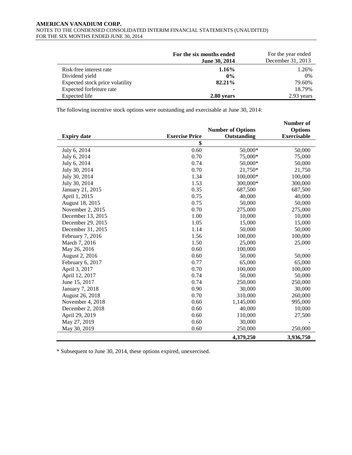#### **AMERICAN VANADIUM CORP.**  NOTES TO THE CONDENSED CONSOLIDATED INTERIM FINANCIAL STATEMENTS (UNAUDITED) FOR THE SIX MONTHS ENDED JUNE 30, 2014

|                                 | For the six months ended<br><b>June 30, 2014</b> | For the year ended<br>December 31, 2013 |
|---------------------------------|--------------------------------------------------|-----------------------------------------|
| Risk-free interest rate         | $1.16\%$                                         | 1.26%                                   |
| Dividend yield                  | $0\%$                                            | 0%                                      |
| Expected stock price volatility | 82.21%                                           | 79.60%                                  |
| Expected forfeiture rate        |                                                  | 18.79%                                  |
| Expected life                   | 2.80 years                                       | 2.93 years                              |

The following incentive stock options were outstanding and exercisable at June 30, 2014:

|                    |                       |                          | Number of          |
|--------------------|-----------------------|--------------------------|--------------------|
|                    |                       | <b>Number of Options</b> | <b>Options</b>     |
| <b>Expiry date</b> | <b>Exercise Price</b> | Outstanding              | <b>Exercisable</b> |
|                    | \$                    |                          |                    |
| July 6, 2014       | 0.60                  | 50,000*                  | 50,000             |
| July 6, 2014       | 0.70                  | 75,000*                  | 75,000             |
| July 6, 2014       | 0.74                  | 50,000*                  | 50,000             |
| July 30, 2014      | 0.70                  | 21,750*                  | 21,750             |
| July 30, 2014      | 1.34                  | 100,000*                 | 100,000            |
| July 30, 2014      | 1.53                  | 300,000*                 | 300,000            |
| January 21, 2015   | 0.35                  | 687,500                  | 687,500            |
| April 1, 2015      | 0.75                  | 40,000                   | 40,000             |
| August 18, 2015    | 0.75                  | 50,000                   | 50,000             |
| November 2, 2015   | 0.70                  | 275,000                  | 275,000            |
| December 13, 2015  | 1.00                  | 10,000                   | 10,000             |
| December 29, 2015  | 1.05                  | 15,000                   | 15,000             |
| December 31, 2015  | 1.14                  | 50,000                   | 50,000             |
| February 7, 2016   | 1.56                  | 100,000                  | 100,000            |
| March 7, 2016      | 1.50                  | 25,000                   | 25,000             |
| May 26, 2016       | 0.60                  | 100,000                  |                    |
| August 2, 2016     | 0.60                  | 50,000                   | 50,000             |
| February 6, 2017   | 0.77                  | 65,000                   | 65,000             |
| April 3, 2017      | 0.70                  | 100,000                  | 100,000            |
| April 12, 2017     | 0.74                  | 50,000                   | 50,000             |
| June 15, 2017      | 0.74                  | 250,000                  | 250,000            |
| January 7, 2018    | 0.90                  | 30,000                   | 30,000             |
| August 26, 2018    | 0.70                  | 310,000                  | 260,000            |
| November 4, 2018   | 0.60                  | 1,145,000                | 995,000            |
| December 2, 2018   | 0.60                  | 40,000                   | 10,000             |
| April 29, 2019     | 0.60                  | 110,000                  | 27,500             |
| May 27, 2019       | 0.60                  | 30,000                   |                    |
| May 30, 2019       | 0.60                  | 250,000                  | 250,000            |
|                    |                       | 4,379,250                | 3,936,750          |

\* Subsequent to June 30, 2014, these options expired, unexercised.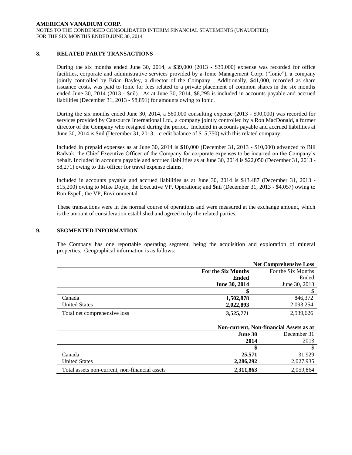# **8. RELATED PARTY TRANSACTIONS**

During the six months ended June 30, 2014, a \$39,000 (2013 - \$39,000) expense was recorded for office facilities, corporate and administrative services provided by a Ionic Management Corp. ("Ionic"), a company jointly controlled by Brian Bayley, a director of the Company. Additionally, \$41,000, recorded as share issuance costs, was paid to Ionic for fees related to a private placement of common shares in the six months ended June 30, 2014 (2013 - \$nil). As at June 30, 2014, \$8,295 is included in accounts payable and accrued liabilities (December 31, 2013 - \$8,891) for amounts owing to Ionic.

During the six months ended June 30, 2014, a \$60,000 consulting expense (2013 - \$90,000) was recorded for services provided by Cansource International Ltd., a company jointly controlled by a Ron MacDonald, a former director of the Company who resigned during the period. Included in accounts payable and accrued liabilities at June 30, 2014 is \$nil (December 31, 2013 – credit balance of \$15,750) with this related company.

Included in prepaid expenses as at June 30, 2014 is \$10,000 (December 31, 2013 - \$10,000) advanced to Bill Radvak, the Chief Executive Officer of the Company for corporate expenses to be incurred on the Company's behalf. Included in accounts payable and accrued liabilities as at June 30, 2014 is \$22,050 (December 31, 2013 - \$8,271) owing to this officer for travel expense claims.

Included in accounts payable and accrued liabilities as at June 30, 2014 is \$13,487 (December 31, 2013 - \$15,200) owing to Mike Doyle, the Executive VP, Operations; and \$nil (December 31, 2013 - \$4,057) owing to Ron Espell, the VP, Environmental.

These transactions were in the normal course of operations and were measured at the exchange amount, which is the amount of consideration established and agreed to by the related parties.

#### **9. SEGMENTED INFORMATION**

The Company has one reportable operating segment, being the acquisition and exploration of mineral properties. Geographical information is as follows:

|                              |                           | <b>Net Comprehensive Loss</b>           |
|------------------------------|---------------------------|-----------------------------------------|
|                              | <b>For the Six Months</b> | For the Six Months                      |
|                              | <b>Ended</b>              | Ended                                   |
|                              | June 30, 2014             | June 30, 2013                           |
|                              |                           | S                                       |
| Canada                       | 1,502,878                 | 846,372                                 |
| <b>United States</b>         | 2,022,893                 | 2,093,254                               |
| Total net comprehensive loss | 3,525,771                 | 2,939,626                               |
|                              |                           | Non-current, Non-financial Assets as at |
|                              | June 30                   | December 31                             |
|                              | 2014                      | 2013                                    |
|                              |                           | \$.                                     |

| Canada                                         | 25,571    | 31.929    |
|------------------------------------------------|-----------|-----------|
| <b>United States</b>                           | 2.286.292 | 2.027.935 |
| Total assets non-current, non-financial assets | 2,311,863 | 2,059,864 |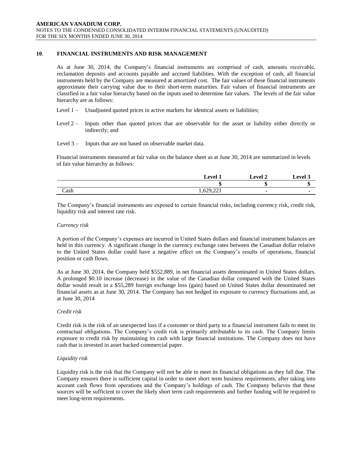# **10**. **FINANCIAL INSTRUMENTS AND RISK MANAGEMENT**

As at June 30, 2014, the Company's financial instruments are comprised of cash, amounts receivable, reclamation deposits and accounts payable and accrued liabilities. With the exception of cash, all financial instruments held by the Company are measured at amortized cost. The fair values of these financial instruments approximate their carrying value due to their short-term maturities. Fair values of financial instruments are classified in a fair value hierarchy based on the inputs used to determine fair values. The levels of the fair value hierarchy are as follows:

- Level 1 Unadjusted quoted prices in active markets for identical assets or liabilities;
- Level 2 Inputs other than quoted prices that are observable for the asset or liability either directly or indirectly; and

Level 3 – Inputs that are not based on observable market data.

Financial instruments measured at fair value on the balance sheet as at June 30, 2014 are summarized in levels of fair value hierarchy as follows:

|      | Level <sup>1</sup> | <b>Level 2</b> | evel? |
|------|--------------------|----------------|-------|
|      |                    |                |       |
| Cash | 1,629,221          |                |       |

The Company's financial instruments are exposed to certain financial risks, including currency risk, credit risk, liquidity risk and interest rate risk.

#### *Currency risk*

A portion of the Company's expenses are incurred in United States dollars and financial instrument balances are held in this currency. A significant change in the currency exchange rates between the Canadian dollar relative to the United States dollar could have a negative effect on the Company's results of operations, financial position or cash flows.

As at June 30, 2014, the Company held \$552,889, in net financial assets denominated in United States dollars. A prolonged \$0.10 increase (decrease) in the value of the Canadian dollar compared with the United States dollar would result in a \$55,289 foreign exchange loss (gain) based on United States dollar denominated net financial assets as at June 30, 2014. The Company has not hedged its exposure to currency fluctuations and, as at June 30, 2014

#### *Credit risk*

Credit risk is the risk of an unexpected loss if a customer or third party to a financial instrument fails to meet its contractual obligations. The Company's credit risk is primarily attributable to its cash. The Company limits exposure to credit risk by maintaining its cash with large financial institutions. The Company does not have cash that is invested in asset backed commercial paper.

# *Liquidity risk*

Liquidity risk is the risk that the Company will not be able to meet its financial obligations as they fall due. The Company ensures there is sufficient capital in order to meet short term business requirements, after taking into account cash flows from operations and the Company's holdings of cash. The Company believes that these sources will be sufficient to cover the likely short term cash requirements and further funding will be required to meet long-term requirements.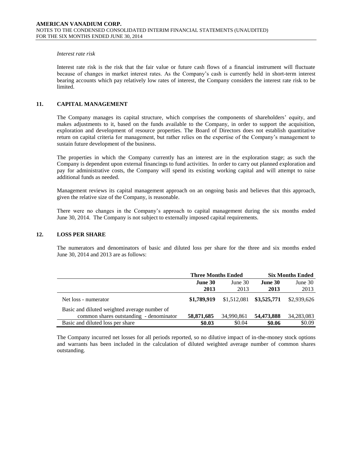#### *Interest rate risk*

Interest rate risk is the risk that the fair value or future cash flows of a financial instrument will fluctuate because of changes in market interest rates. As the Company's cash is currently held in short-term interest bearing accounts which pay relatively low rates of interest, the Company considers the interest rate risk to be limited.

### **11. CAPITAL MANAGEMENT**

The Company manages its capital structure, which comprises the components of shareholders' equity, and makes adjustments to it, based on the funds available to the Company, in order to support the acquisition, exploration and development of resource properties. The Board of Directors does not establish quantitative return on capital criteria for management, but rather relies on the expertise of the Company's management to sustain future development of the business.

The properties in which the Company currently has an interest are in the exploration stage; as such the Company is dependent upon external financings to fund activities. In order to carry out planned exploration and pay for administrative costs, the Company will spend its existing working capital and will attempt to raise additional funds as needed.

Management reviews its capital management approach on an ongoing basis and believes that this approach, given the relative size of the Company, is reasonable.

There were no changes in the Company's approach to capital management during the six months ended June 30, 2014. The Company is not subject to externally imposed capital requirements.

#### **12. LOSS PER SHARE**

The numerators and denominators of basic and diluted loss per share for the three and six months ended June 30, 2014 and 2013 are as follows:

|                                              | <b>Three Months Ended</b> |            | <b>Six Months Ended</b>   |             |
|----------------------------------------------|---------------------------|------------|---------------------------|-------------|
|                                              | June $30$<br>June 30      |            | June 30                   | June 30     |
|                                              | 2013                      | 2013       | 2013                      | 2013        |
| Net loss - numerator                         | \$1,789,919               |            | $$1,512,081$ $$3,525,771$ | \$2,939,626 |
| Basic and diluted weighted average number of |                           |            |                           |             |
| common shares outstanding - denominator      | 58,871,685                | 34,990,861 | 54,473,888                | 34,283,083  |
| Basic and diluted loss per share             | \$0.03                    | \$0.04     | \$0.06                    | \$0.09      |

The Company incurred net losses for all periods reported, so no dilutive impact of in-the-money stock options and warrants has been included in the calculation of diluted weighted average number of common shares outstanding.